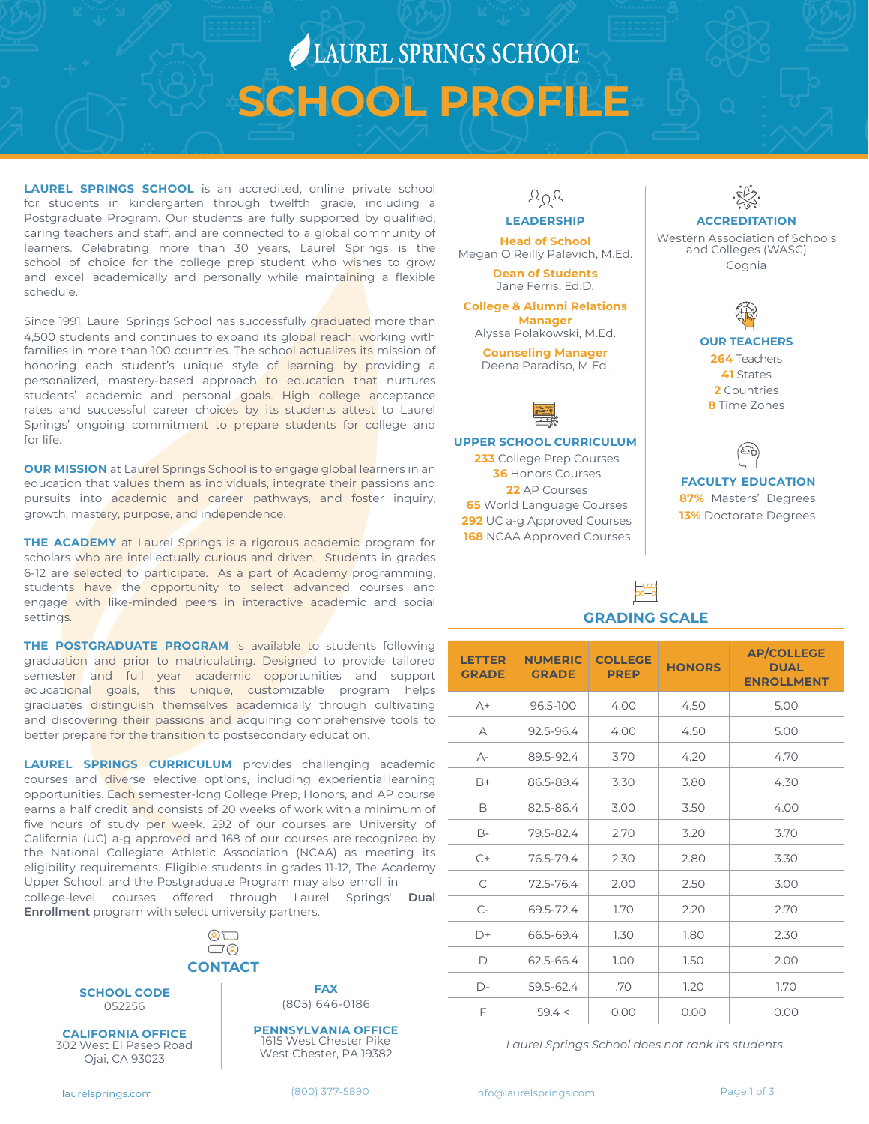# LAUREL SPRINGS SCHOOL **SCHOOL PROFILE**

**[LAUREL SPRINGS SCHOOL](https://laurelsprings.com/)** is an accredited, online private school for students in kindergarten through twelfth grade, including a Postgraduate Program. Our students are fully supported by qualified, caring teachers and staff, and are connected to a global community of learners. Celebrating more than 30 years, Laurel Springs is the school of choice for the college prep student who wishes to grow and excel academically and personally while maintaining a flexible schedule.

Since 1991, Laurel Springs School has successfully graduated more than 4,500 students and continues to expand its global reach, working with families in more than 100 countries. The school actualizes its mission of honoring each student's unique style of learning by providing a personalized, mastery-based approach to education that nurtures students' academic and personal goals. High college acceptance rates and successful career choices by its students attest to Laurel Springs' ongoing commitment to prepare students for college and for life.

**OUR MISSION** at Laurel Springs School is to engage global learners in an education that values them as individuals, integrate their passions and pursuits into academic and career pathways, and foster inquiry, growth, mastery, purpose, and independence.

**[THE ACADEMY](https://laurelsprings.com/the-academy-at-lss/)** at Laurel Springs is a rigorous academic program for scholars who are intellectually curious and driven. Students in grades 6-12 are selected to participate. As a part of Academy programming, students have the opportunity to select advanced courses and engage with like-minded peers in interactive academic and social settings.

**[THE POSTGRADUATE PROGRAM](https://laurelsprings.com/postgraduate-program/)** is available to students following graduation and prior to matriculating. Designed to provide tailored semester and full year academic opportunities and support educational goals, this unique, customizable program helps graduates distinguish themselves academically through cultivating and discovering their passions and acquiring comprehensive tools to better prepare for the transition to postsecondary education.

**LAUREL SPRINGS CURRICULUM** provides challenging academic courses and diverse elective options, including experiential learning opportunities. Each semester-long College Prep, Honors, and AP course earns a half credit and consists of 20 weeks of work with a minimum of five hours of study per week. 292 of our courses are University of California (UC) a-g approved and 168 of our courses are recognized by the National Collegiate Athletic Association (NCAA) as meeting its eligibility requirements. Eligible students in grades 11-12, The Academy Upper School, and the Postgraduate Program may also enroll in [college-level courses offered through Laurel Springs'](https://laurelsprings.com/dual-enrollment-at-laurel-springs/) **Dual** 

**Enrollment** program with select university partners.



**SCHOOL CODE** 052256

**CALIFORNIA OFFICE** 302 West El Paseo Road Ojai, CA 93023

 $\gamma_0$ 

### **LEADERSHIP**

**Head of School** Megan O'Reilly Palevich, M.Ed.

**Dean of Students** Jane Ferris, Ed.D.

**College & Alumni Relations Manager** Alyssa Polakowski, M.Ed.

**Counseling Manager** Deena Paradiso, M.Ed.



**UPPER SCHOOL CURRICULUM**

 College Prep Courses Honors Courses AP Courses World Language Courses **92** UC a-g Approved Courses NCAA Approved Courses



Western Association of Schools and Colleges (WASC) Cognia



**41** States **2** Countries **8** Time Zones



**FACULTY EDUCATION 87%** Masters' Degrees **13%** Doctorate Degrees

# **GRADING SCALE**

| <b>LETTER</b><br><b>GRADE</b> | <b>NUMERIC</b><br><b>GRADE</b> | <b>COLLEGE</b><br><b>PREP</b> | <b>HONORS</b> | <b>AP/COLLEGE</b><br><b>DUAL</b><br><b>ENROLLMENT</b> |
|-------------------------------|--------------------------------|-------------------------------|---------------|-------------------------------------------------------|
| $A+$                          | 96.5-100                       | 4.00                          | 4.50          | 5.00                                                  |
| A                             | 92.5-96.4                      | 4.00                          | 4.50          | 5.00                                                  |
| А-                            | 89.5-92.4                      | 3.70                          | 4.20          | 4.70                                                  |
| B+                            | 86.5-89.4                      | 3.30                          | 3.80          | 4.30                                                  |
| B                             | 82.5-86.4                      | 3.00                          | 3.50          | 4.00                                                  |
| B-                            | 79.5-82.4                      | 2.70                          | 3.20          | 3.70                                                  |
| $C+$                          | 76.5-79.4                      | 2.30                          | 2.80          | 3.30                                                  |
| C                             | 72.5-76.4                      | 2.00                          | 2.50          | 3.00                                                  |
| $C-$                          | 69.5-72.4                      | 1.70                          | 2.20          | 2.70                                                  |
| D+                            | 66.5-69.4                      | 1.30                          | 1.80          | 2.30                                                  |
| D                             | 62.5-66.4                      | 1.00                          | 1.50          | 2.00                                                  |
| $D-$                          | 59.5-62.4                      | .70                           | 1.20          | 1.70                                                  |
| F                             | 59.4 <                         | 0.00                          | 0.00          | 0.00                                                  |

*Laurel Springs School does not rank its students.*

**PENNSYLVANIA OFFICE** 1615 West Chester Pike West Chester, PA 19382

**FAX** (805) 646-0186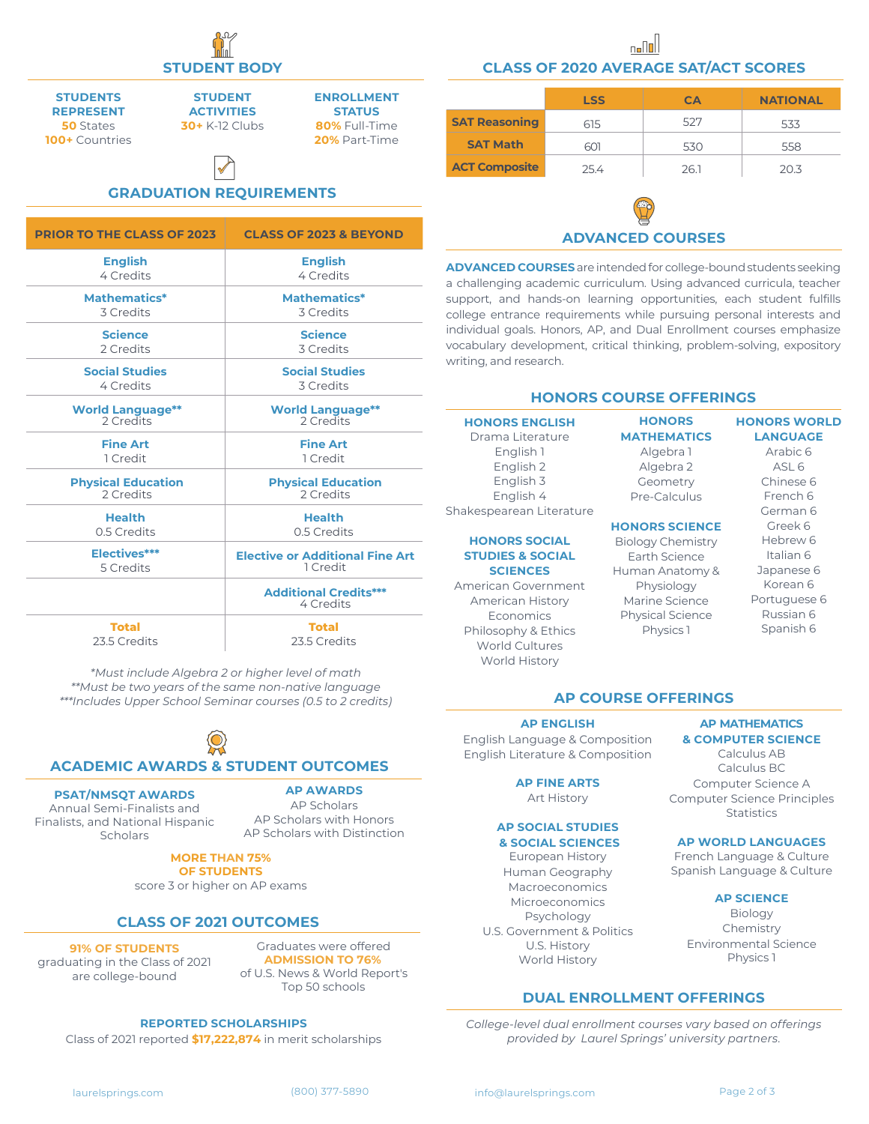**STUDENTS REPRESENT 50** States **100+** Countries

**STUDENT ACTIVITIES 30+** K-12 Clubs

**ENROLLMENT STATUS 80%** Full-Time **20%** Part-Time

# **GRADUATION REQUIREMENTS**  $\bigvee$

| <b>PRIOR TO THE CLASS OF 2023</b> | <b>CLASS OF 2023 &amp; BEYOND</b>         |  |
|-----------------------------------|-------------------------------------------|--|
| <b>English</b>                    | <b>English</b>                            |  |
| 4 Credits                         | 4 Credits                                 |  |
| Mathematics*                      | Mathematics*                              |  |
| 3 Credits                         | 3 Credits                                 |  |
| <b>Science</b>                    | <b>Science</b>                            |  |
| 2 Credits                         | 3 Credits                                 |  |
| <b>Social Studies</b>             | <b>Social Studies</b>                     |  |
| 4 Credits                         | 3 Credits                                 |  |
| <b>World Language**</b>           | <b>World Language**</b>                   |  |
| 2 Credits                         | 2 Credits                                 |  |
| <b>Fine Art</b>                   | <b>Fine Art</b>                           |  |
| 1 Credit                          | 1 Credit                                  |  |
| <b>Physical Education</b>         | <b>Physical Education</b>                 |  |
| 2 Credits                         | 2 Credits                                 |  |
| <b>Health</b>                     | <b>Health</b>                             |  |
| 0.5 Credits                       | 0.5 Credits                               |  |
| Electives***                      | <b>Elective or Additional Fine Art</b>    |  |
| 5 Credits                         | 1 Credit                                  |  |
|                                   | <b>Additional Credits***</b><br>4 Credits |  |
| <b>Total</b>                      | <b>Total</b>                              |  |
| 23.5 Credits                      | 23.5 Credits                              |  |

*\*Must include Algebra 2 or higher level of math*

*\*\*Must be two years of the same non-native language \*\*\*Includes Upper School Seminar courses (0.5 to 2 credits)*

# **ACADEMIC AWARDS & STUDENT OUTCOMES**

## **PSAT/NMSQT AWARDS**

#### **AP AWARDS**

Annual Semi-Finalists and Finalists, and National Hispanic Scholars

AP Scholars AP Scholars with Honors AP Scholars with Distinction

#### **MORE THAN 75% OF STUDENTS**

score 3 or higher on AP exams

### **CLASS OF 2021 OUTCOMES**

**91% OF STUDENTS** graduating in the Class of 2021 are college-bound

Graduates were offered **ADMISSION TO 76%** of U.S. News & World Report's Top 50 schools

#### **REPORTED SCHOLARSHIPS**

Class of 2021 reported **\$17,222,874** in merit scholarships

**STUDENT BODY CLASS OF 2020 AVERAGE SAT/ACT SCORES**

|                      | <b>LSS</b> | CA   | <b>NATIONAL</b> |
|----------------------|------------|------|-----------------|
| <b>SAT Reasoning</b> | 615        | 527  | 533             |
| <b>SAT Math</b>      | 601        | 530  | 558             |
| <b>ACT Composite</b> | 25.4       | 26.1 | 20.3            |

# **ADVANCED COURSES**

**ADVANCED COURSES** are intended for college-bound students seeking a challenging academic curriculum. Using advanced curricula, teacher support, and hands-on learning opportunities, each student fulfills college entrance requirements while pursuing personal interests and individual goals. Honors, AP, and Dual Enrollment courses emphasize vocabulary development, critical thinking, problem-solving, expository writing, and research.

### **HONORS COURSE OFFERINGS**

#### **HONORS ENGLISH** Drama Literature English 1 English 2 English 3 English 4 Shakespearean Literature

#### **HONORS SOCIAL STUDIES & SOCIAL SCIENCES**

American Government American History Economics Philosophy & Ethics World Cultures World History

#### **HONORS MATHEMATICS** Algebra 1 Algebra 2 Geometry Pre-Calculus

# **HONORS SCIENCE**

Biology Chemistry Earth Science Human Anatomy & Physiology Marine Science Physical Science Physics 1

#### Chinese 6 French 6 German 6 Greek 6 Hebrew 6 Italian 6 Japanese 6

**HONORS WORLD LANGUAGE** Arabic 6  $ASL$  6

Korean 6 Portuguese 6 Russian 6 Spanish 6

# **AP COURSE OFFERINGS**

#### **AP ENGLISH**

English Language & Composition English Literature & Composition

#### **AP FINE ARTS** Art History

# **AP SOCIAL STUDIES**

### **& SOCIAL SCIENCES**

European History Human Geography Macroeconomics Microeconomics Psychology U.S. Government & Politics U.S. History World History

### **DUAL ENROLLMENT OFFERINGS**

*College-level dual enrollment courses vary based on offerings provided by Laurel Springs' university partners.* 

Calculus BC Computer Science A Computer Science Principles Statistics

**AP MATHEMATICS & COMPUTER SCIENCE** Calculus AB

#### **AP WORLD LANGUAGES**

French Language & Culture Spanish Language & Culture

#### **AP SCIENCE**

Biology Chemistry Environmental Science Physics 1